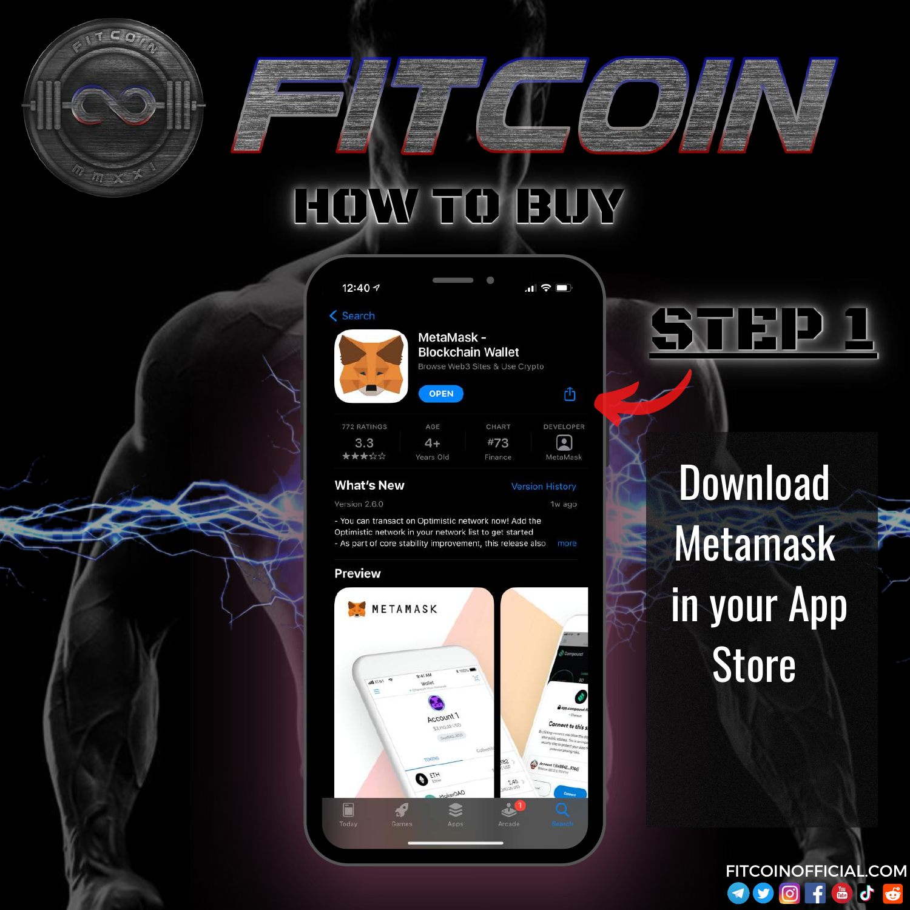

#### 12:40 7



MetaMask -**Blockchain Wallet** Browse Web3 Sites & Use Crypto

О

| AGE       | CHART   | DEVELO       |  |
|-----------|---------|--------------|--|
| $4+$      | #73     | $\mathbf{C}$ |  |
| Years Old | Finance | MetaMa       |  |
|           |         |              |  |

**OPEN** 

#### **What's New**

**Version History** 1w ago

 $\mathbf{d}$   $\mathbf{\hat{z}}$   $\mathbf{m}$ 

rħ

- You can transact on Optimistic network now! Add the Optimistic network in your network list to get started - As part of core stability improvement, this release also



## **Download Metamask** in your App **Store**



Version 2.6.0



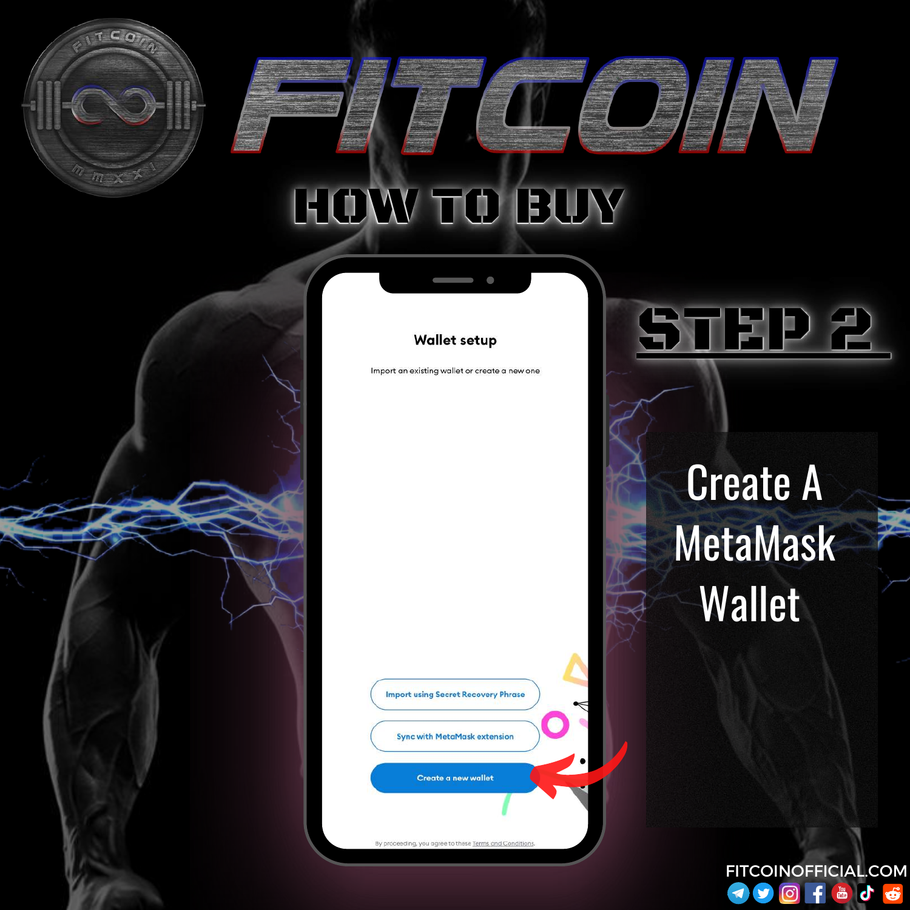



Import an existing wallet or create a new one

**Import using Secret Recovery Phrase Sync with MetaMask extension** Create a new wallet

By proceeding, you agree to these Terms and Condition

Create A MetaMask Wallet

STEP 2

FITCOINOFFICIAL.COMOf Fot  $\blacktriangleright$  $\blacktriangleleft$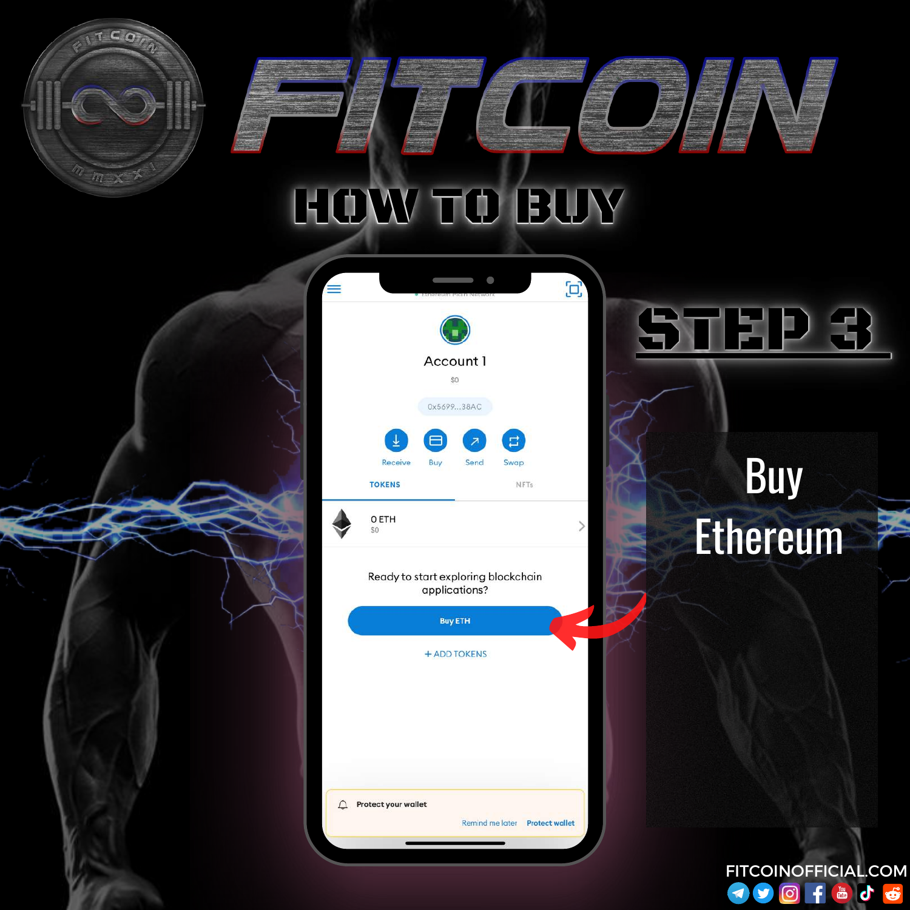$T C$ 



Ready to start exploring blockchain applications?

 $\geq$ 



 $\mathcal{L}$  Protect your wallet Remind me later Protect wallet

Buy Ethereum

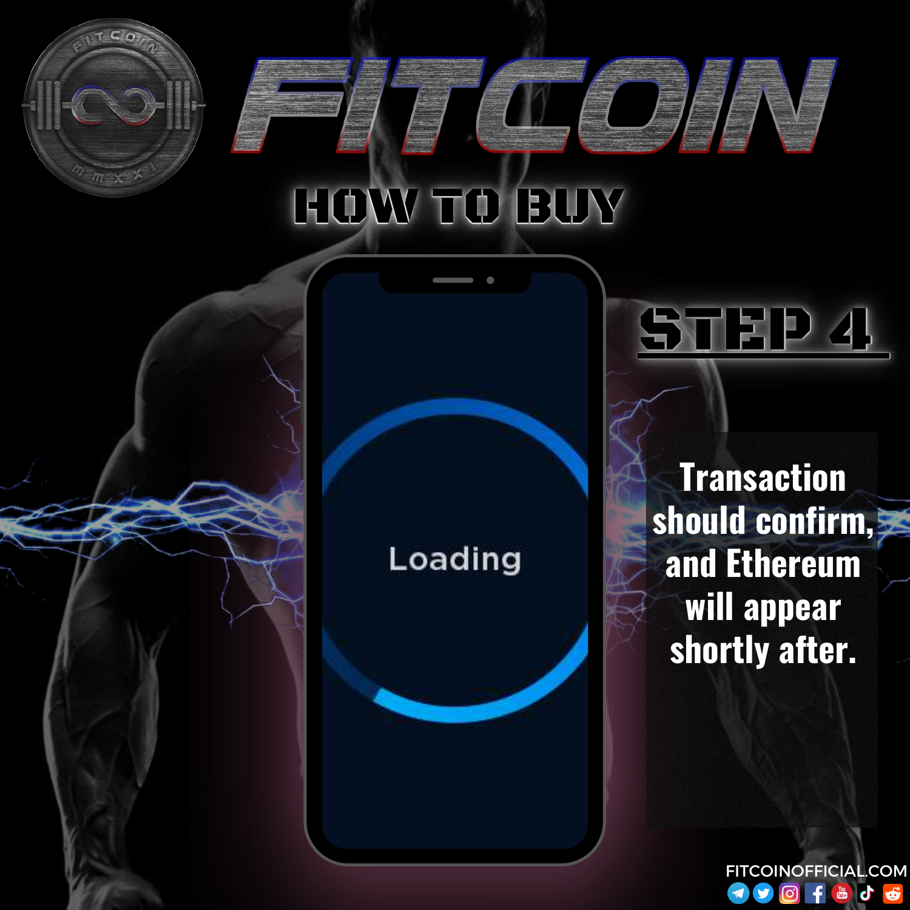



**Transaction should confirm, and Ethereum will appear shortly after.**

STEP 4

FITCOINOFFICIAL.COMThe of  $\odot$  $\blacktriangleleft$  $\mathbf f$  $\ddot{\bullet}$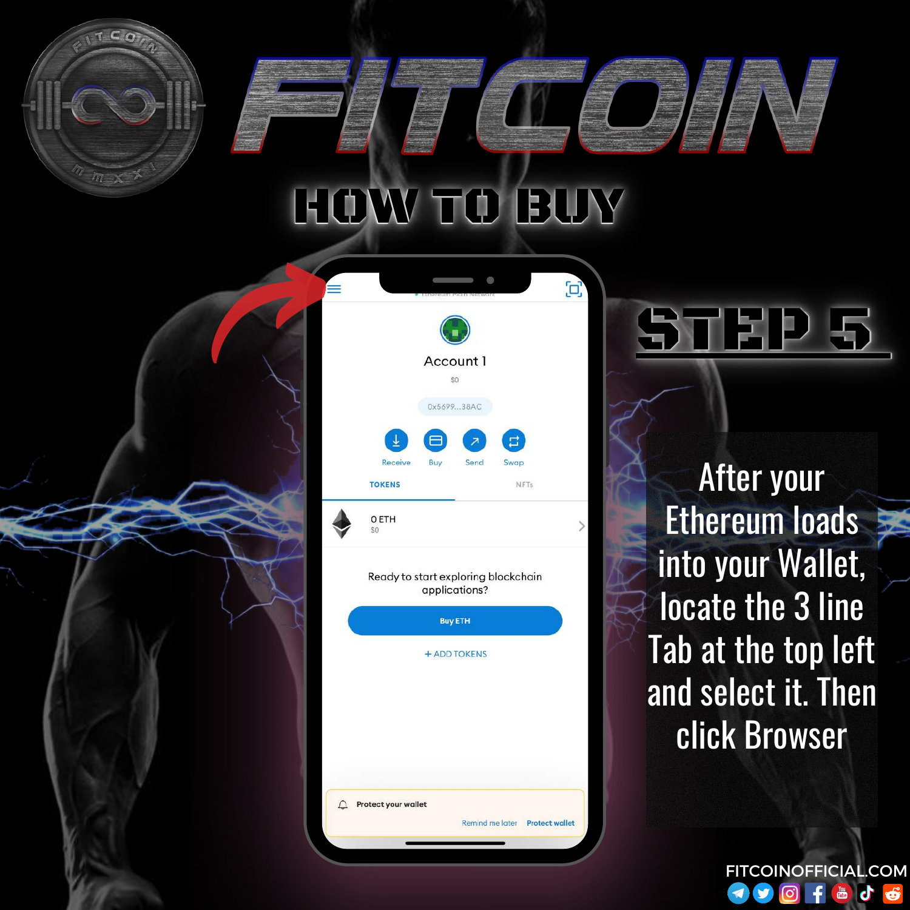

Ready to start exploring blockchain applications?

 $\searrow$ 



After your Ethereum loads into your Wallet, locate the 3 line Tab at the top left and select it. Then click Browser

STEP 5

FITCOINOFFICIAL.COM**y** <u>ල)</u> **ED** Ġ  $\blacktriangleleft$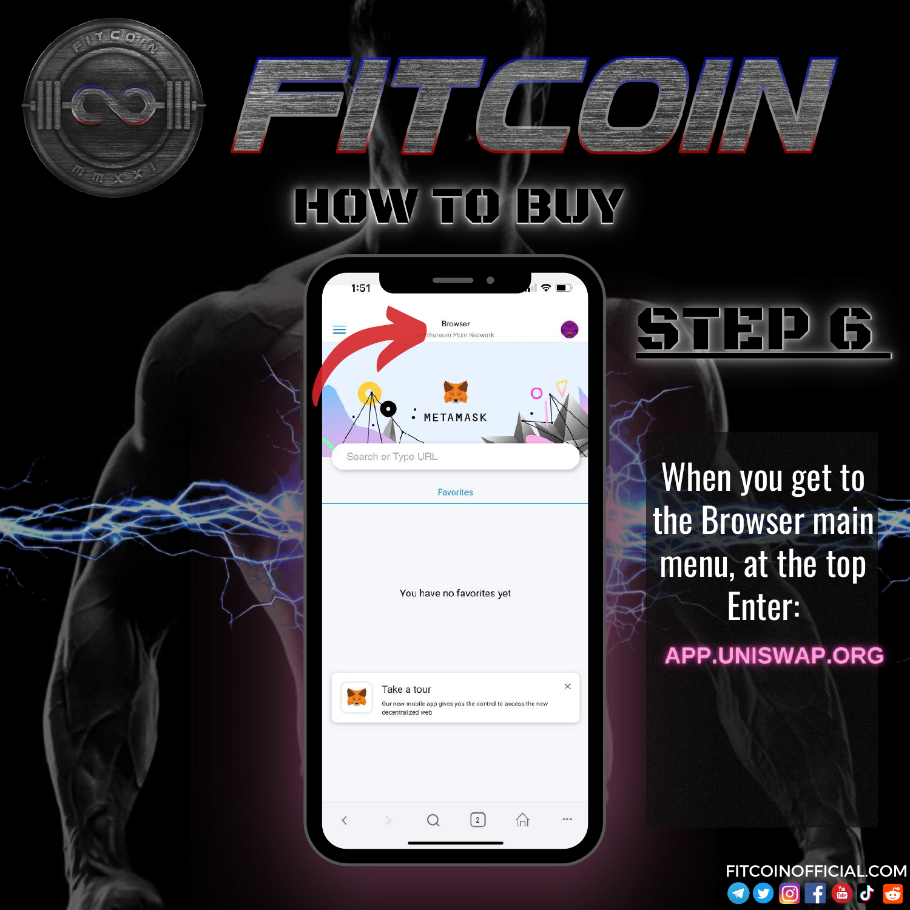

**Favorites** 

You have no favorites yet

 $\times$ Take a tour Our new mobile app gives you the control to access the new decentralized web  $^{[2]}$ 份

When you get to the Browser main menu, at the top Enter: **APP.UNISWAP.ORG** 

 $\blacklozenge$ 

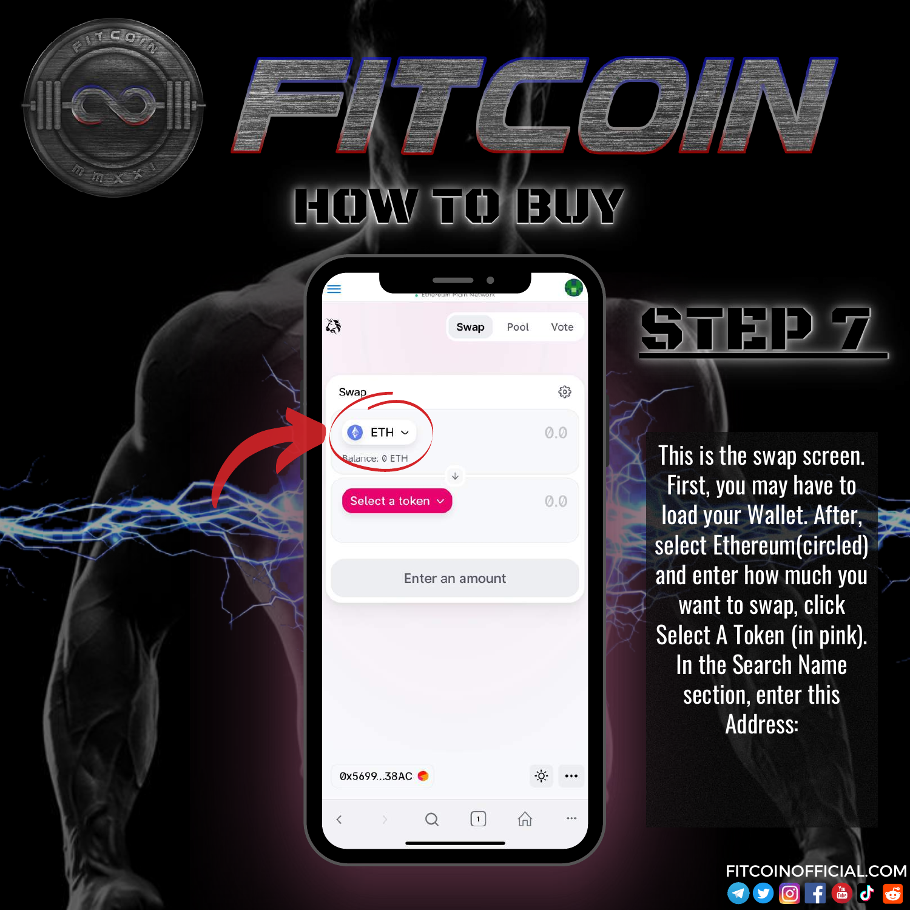|                           | Ethereum McIm Network |      |                           |
|---------------------------|-----------------------|------|---------------------------|
| <b>Cole</b>               | Swap                  | Pool | Vote                      |
| Swap                      |                       |      | భ్రీ                      |
| ETH ~ ~<br>Ralance: 0 ETH |                       |      | 0.0                       |
| Select a token $\vee$     | $\downarrow$          |      | $\emptyset$ . $\emptyset$ |

Enter an amount

0x5699...38AC  $\rm O$  $\left( \begin{matrix} 1 \end{matrix} \right)$ 份 Q

This is the swap screen. First, you may have to load your Wallet. After, select Ethereum(circled) and enter how much you want to swap, click Select A Token (in pink). In the Search Name section, enter this Address:

STEP 7

FITCOINOFFICIAL.COM $\blacktriangleright$  $\boxed{0}$ The of  $\blacktriangleleft$  $\mathbf{f}$  $\ddot{\mathbf{e}}$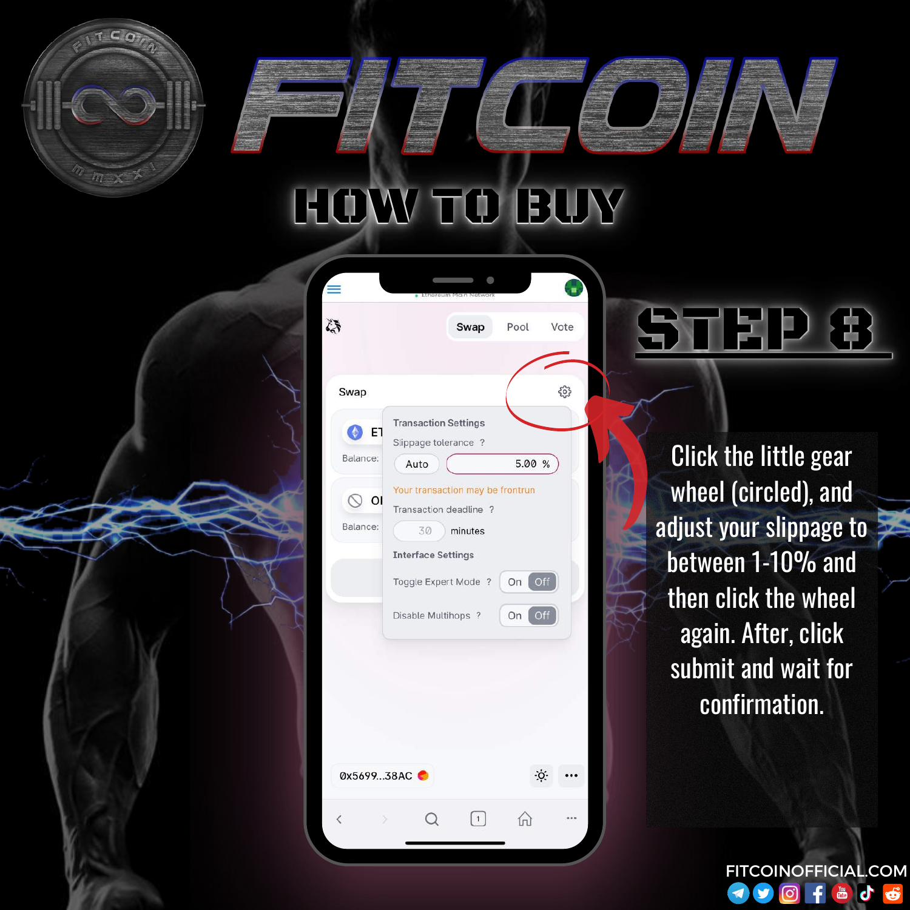

Click the little gear wheel (circled), and adjust your slippage to between 1-10% and then click the wheel again. After, click submit and wait for confirmation.

FITCOINOFFICIAL.COM

 $\mathbf{f}$ 

 $\blacktriangleleft$ 

 $\odot$ 

TOP JO

STEP 8